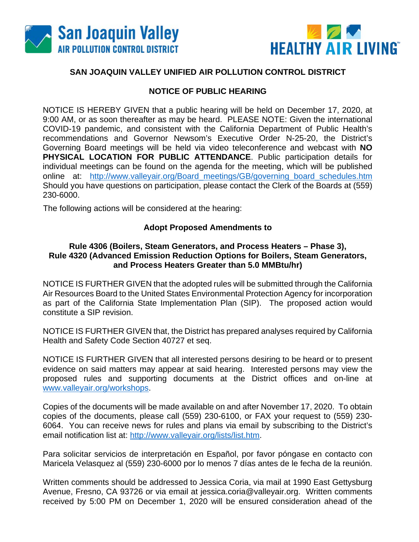



## **SAN JOAQUIN VALLEY UNIFIED AIR POLLUTION CONTROL DISTRICT**

## **NOTICE OF PUBLIC HEARING**

NOTICE IS HEREBY GIVEN that a public hearing will be held on December 17, 2020, at 9:00 AM, or as soon thereafter as may be heard. PLEASE NOTE: Given the international COVID-19 pandemic, and consistent with the California Department of Public Health's recommendations and Governor Newsom's Executive Order N-25-20, the District's Governing Board meetings will be held via video teleconference and webcast with **NO PHYSICAL LOCATION FOR PUBLIC ATTENDANCE**. Public participation details for individual meetings can be found on the agenda for the meeting, which will be published online at: [http://www.valleyair.org/Board\\_meetings/GB/governing\\_board\\_schedules.htm](http://www.valleyair.org/Board_meetings/GB/governing_board_schedules.htm) Should you have questions on participation, please contact the Clerk of the Boards at (559) 230-6000.

The following actions will be considered at the hearing:

## **Adopt Proposed Amendments to**

## **Rule 4306 (Boilers, Steam Generators, and Process Heaters – Phase 3), Rule 4320 (Advanced Emission Reduction Options for Boilers, Steam Generators, and Process Heaters Greater than 5.0 MMBtu/hr)**

NOTICE IS FURTHER GIVEN that the adopted rules will be submitted through the California Air Resources Board to the United States Environmental Protection Agency for incorporation as part of the California State Implementation Plan (SIP). The proposed action would constitute a SIP revision.

NOTICE IS FURTHER GIVEN that, the District has prepared analyses required by California Health and Safety Code Section 40727 et seq.

NOTICE IS FURTHER GIVEN that all interested persons desiring to be heard or to present evidence on said matters may appear at said hearing. Interested persons may view the proposed rules and supporting documents at the District offices and on-line at [www.valleyair.org/workshops.](http://www.valleyair.org/workshops)

Copies of the documents will be made available on and after November 17, 2020. To obtain copies of the documents, please call (559) 230-6100, or FAX your request to (559) 230- 6064. You can receive news for rules and plans via email by subscribing to the District's email notification list at: [http://www.valleyair.org/lists/list.htm.](http://www.valleyair.org/lists/list.htm)

Para solicitar servicios de interpretación en Español, por favor póngase en contacto con Maricela Velasquez al (559) 230-6000 por lo menos 7 días antes de le fecha de la reunión.

Written comments should be addressed to Jessica Coria, via mail at 1990 East Gettysburg Avenue, Fresno, CA 93726 or via email at jessica.coria@valleyair.org. Written comments received by 5:00 PM on December 1, 2020 will be ensured consideration ahead of the